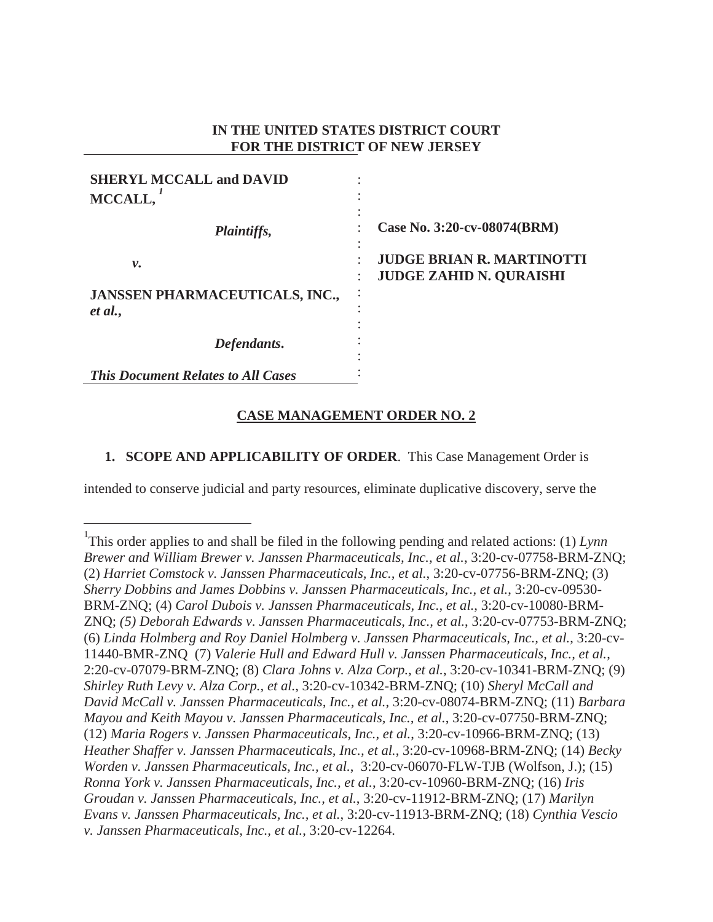## **IN THE UNITED STATES DISTRICT COURT FOR THE DISTRICT OF NEW JERSEY**

| <b>SHERYL MCCALL and DAVID</b><br>MCCALL,        |                                                                                   |
|--------------------------------------------------|-----------------------------------------------------------------------------------|
| Plaintiffs,                                      | ٠<br>Case No. 3:20-cv-08074(BRM)                                                  |
| ν.                                               | ٠<br><b>JUDGE BRIAN R. MARTINOTTI</b><br>٠<br><b>JUDGE ZAHID N. QURAISHI</b><br>٠ |
| <b>JANSSEN PHARMACEUTICALS, INC.,</b><br>et al., | ٠                                                                                 |
| Defendants.                                      |                                                                                   |
| <b>This Document Relates to All Cases</b>        |                                                                                   |

# **CASE MANAGEMENT ORDER NO. 2**

## **1. SCOPE AND APPLICABILITY OF ORDER**. This Case Management Order is

intended to conserve judicial and party resources, eliminate duplicative discovery, serve the

<sup>&</sup>lt;sup>1</sup>This order applies to and shall be filed in the following pending and related actions: (1) *Lynn Brewer and William Brewer v. Janssen Pharmaceuticals, Inc., et al.*, 3:20-cv-07758-BRM-ZNQ; (2) *Harriet Comstock v. Janssen Pharmaceuticals, Inc., et al.*, 3:20-cv-07756-BRM-ZNQ; (3) *Sherry Dobbins and James Dobbins v. Janssen Pharmaceuticals, Inc., et al.*, 3:20-cv-09530- BRM-ZNQ; (4) *Carol Dubois v. Janssen Pharmaceuticals, Inc., et al.*, 3:20-cv-10080-BRM-ZNQ; *(5) Deborah Edwards v. Janssen Pharmaceuticals, Inc., et al.*, 3:20-cv-07753-BRM-ZNQ; (6) *Linda Holmberg and Roy Daniel Holmberg v. Janssen Pharmaceuticals, Inc., et al.*, 3:20-cv-11440-BMR-ZNQ (7) *Valerie Hull and Edward Hull v. Janssen Pharmaceuticals, Inc., et al.*, 2:20-cv-07079-BRM-ZNQ; (8) *Clara Johns v. Alza Corp., et al.*, 3:20-cv-10341-BRM-ZNQ; (9) *Shirley Ruth Levy v. Alza Corp., et al.*, 3:20-cv-10342-BRM-ZNQ; (10) *Sheryl McCall and David McCall v. Janssen Pharmaceuticals, Inc., et al.*, 3:20-cv-08074-BRM-ZNQ; (11) *Barbara Mayou and Keith Mayou v. Janssen Pharmaceuticals, Inc., et al.*, 3:20-cv-07750-BRM-ZNQ; (12) *Maria Rogers v. Janssen Pharmaceuticals, Inc., et al.*, 3:20-cv-10966-BRM-ZNQ; (13) *Heather Shaffer v. Janssen Pharmaceuticals, Inc., et al.*, 3:20-cv-10968-BRM-ZNQ; (14) *Becky Worden v. Janssen Pharmaceuticals, Inc., et al.*, 3:20-cv-06070-FLW-TJB (Wolfson, J.); (15) *Ronna York v. Janssen Pharmaceuticals, Inc., et al.*, 3:20-cv-10960-BRM-ZNQ; (16) *Iris Groudan v. Janssen Pharmaceuticals, Inc., et al.*, 3:20-cv-11912-BRM-ZNQ; (17) *Marilyn Evans v. Janssen Pharmaceuticals, Inc., et al.*, 3:20-cv-11913-BRM-ZNQ; (18) *Cynthia Vescio v. Janssen Pharmaceuticals, Inc., et al.*, 3:20-cv-12264.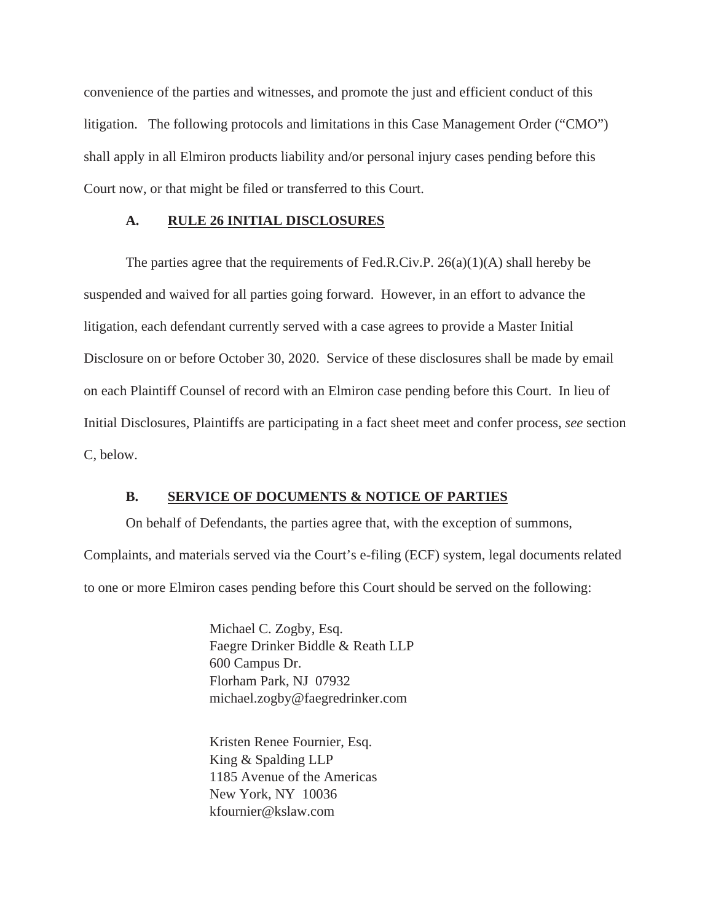convenience of the parties and witnesses, and promote the just and efficient conduct of this litigation. The following protocols and limitations in this Case Management Order ("CMO") shall apply in all Elmiron products liability and/or personal injury cases pending before this Court now, or that might be filed or transferred to this Court.

#### **A. RULE 26 INITIAL DISCLOSURES**

The parties agree that the requirements of Fed.R.Civ.P.  $26(a)(1)(A)$  shall hereby be suspended and waived for all parties going forward. However, in an effort to advance the litigation, each defendant currently served with a case agrees to provide a Master Initial Disclosure on or before October 30, 2020. Service of these disclosures shall be made by email on each Plaintiff Counsel of record with an Elmiron case pending before this Court. In lieu of Initial Disclosures, Plaintiffs are participating in a fact sheet meet and confer process, *see* section C, below.

#### **B. SERVICE OF DOCUMENTS & NOTICE OF PARTIES**

On behalf of Defendants, the parties agree that, with the exception of summons, Complaints, and materials served via the Court's e-filing (ECF) system, legal documents related to one or more Elmiron cases pending before this Court should be served on the following:

> Michael C. Zogby, Esq. Faegre Drinker Biddle & Reath LLP 600 Campus Dr. Florham Park, NJ 07932 michael.zogby@faegredrinker.com

Kristen Renee Fournier, Esq. King & Spalding LLP 1185 Avenue of the Americas New York, NY 10036 kfournier@kslaw.com